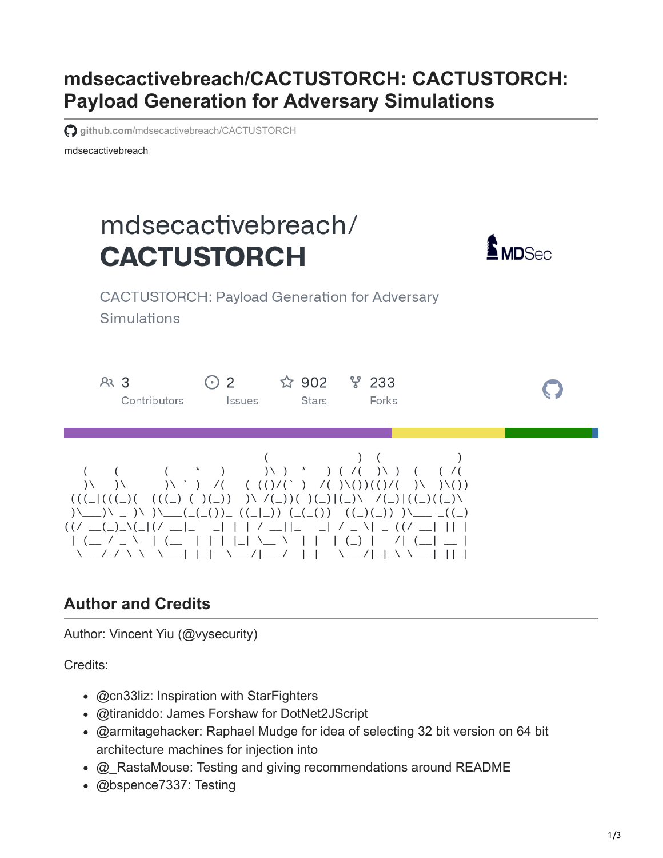# **mdsecactivebreach/CACTUSTORCH: CACTUSTORCH: Payload Generation for Adversary Simulations**

**github.com[/mdsecactivebreach/CACTUSTORCH](https://github.com/mdsecactivebreach/CACTUSTORCH)** 

mdsecactivebreach

# mdsecactivebreach/ **CACTUSTORCH**



**CACTUSTORCH: Payload Generation for Adversary** Simulations

| R <sub>3</sub>                                                                                                                                                                 | $\bullet$                                                                                      | ☆ 902                                                                                                                                                                                | <b>បូ 233</b>                                                                                                                   |                      |
|--------------------------------------------------------------------------------------------------------------------------------------------------------------------------------|------------------------------------------------------------------------------------------------|--------------------------------------------------------------------------------------------------------------------------------------------------------------------------------------|---------------------------------------------------------------------------------------------------------------------------------|----------------------|
| Contributors                                                                                                                                                                   | <i>ssues</i>                                                                                   | Stars                                                                                                                                                                                | Forks                                                                                                                           |                      |
| $\mathcal{N}$ )<br>$\lambda$<br>$\lambda$<br>$($ ( $($<br>$)(\underline{\qquad})\ ( \underline{\qquad})$<br>) $\setminus$ $\setminus$ $\setminus$<br>$((/ \_(-) \_)(  / \_ -)$ | $\star$<br>$\sqrt{2}$<br>( )<br>$\Delta$<br>$\left[\begin{array}{cc} 1 & 1 \end{array}\right]$ | $\star$<br>$\mathcal{N}$<br>$\left( \begin{array}{c} \sqrt{2} \\ \sqrt{2} \end{array} \right)$<br>$(()(\)}/(\)$ /() $)(\)$<br>$((\_ ))$ $(\_()$ $((\_)(\_))$ $((\_)(\_))$<br>$\perp$ | $($ /(<br>$\lambda$<br>$\rightarrow$<br>)\ /(_))( )(_) (_)\ /(_) ((_)\<br>(()<br>$-$       / $-$   _ $-$   / $-$ \  $-$ ((/ $-$ | $(\ )\setminus( \ )$ |

## **Author and Credits**

Author: Vincent Yiu (@vysecurity)

Credits:

- @cn33liz: Inspiration with StarFighters
- @tiraniddo: James Forshaw for DotNet2JScript
- @armitagehacker: Raphael Mudge for idea of selecting 32 bit version on 64 bit architecture machines for injection into
- @\_RastaMouse: Testing and giving recommendations around README
- @bspence7337: Testing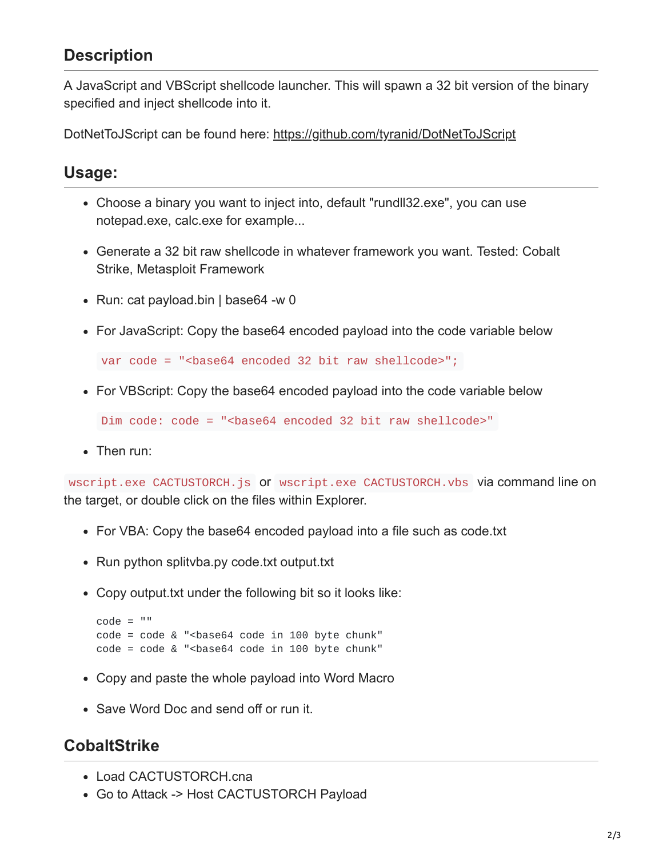### **Description**

A JavaScript and VBScript shellcode launcher. This will spawn a 32 bit version of the binary specified and inject shellcode into it.

DotNetToJScript can be found here: <https://github.com/tyranid/DotNetToJScript>

#### **Usage:**

- Choose a binary you want to inject into, default "rundll32.exe", you can use notepad.exe, calc.exe for example...
- Generate a 32 bit raw shellcode in whatever framework you want. Tested: Cobalt Strike, Metasploit Framework
- Run: cat payload.bin | base64 -w 0
- For JavaScript: Copy the base64 encoded payload into the code variable below

var code = "<br/>base64 encoded 32 bit raw shellcode>";

• For VBScript: Copy the base64 encoded payload into the code variable below

Dim code: code = "<br />base64 encoded 32 bit raw shellcode>"

• Then run:

wscript.exe CACTUSTORCH.js or wscript.exe CACTUSTORCH.vbs via command line on the target, or double click on the files within Explorer.

- For VBA: Copy the base64 encoded payload into a file such as code.txt
- Run python splitvba.py code.txt output.txt
- Copy output.txt under the following bit so it looks like:

```
code = ""code = code & "<base64 code in 100 byte chunk"code = code & "<base64 code in 100 byte chunk"
```
- Copy and paste the whole payload into Word Macro
- Save Word Doc and send off or run it.

#### **CobaltStrike**

- Load CACTUSTORCH.cna
- Go to Attack -> Host CACTUSTORCH Payload